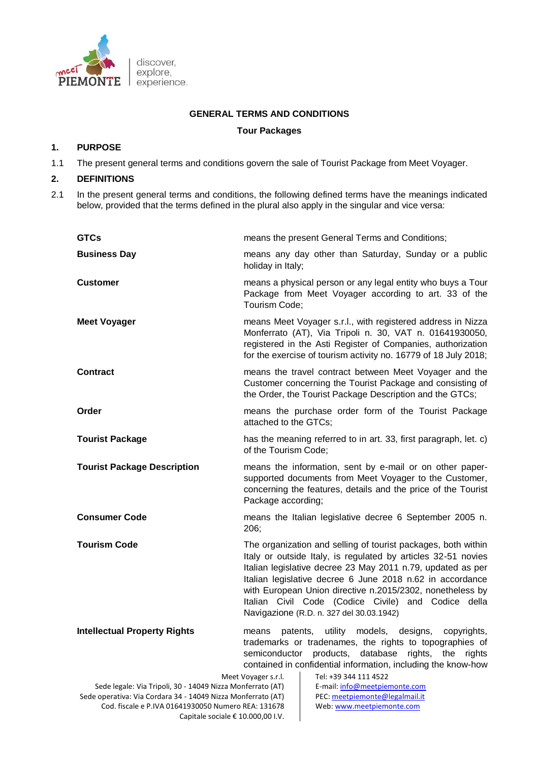

## **GENERAL TERMS AND CONDITIONS**

## **Tour Packages**

## **1. PURPOSE**

1.1 The present general terms and conditions govern the sale of Tourist Package from Meet Voyager.

## **2. DEFINITIONS**

2.1 In the present general terms and conditions, the following defined terms have the meanings indicated below, provided that the terms defined in the plural also apply in the singular and vice versa:

| <b>GTCs</b>                                                                                                                                 | means the present General Terms and Conditions;                                                                                                                                                                                                                                                                                                                                                                            |
|---------------------------------------------------------------------------------------------------------------------------------------------|----------------------------------------------------------------------------------------------------------------------------------------------------------------------------------------------------------------------------------------------------------------------------------------------------------------------------------------------------------------------------------------------------------------------------|
| <b>Business Day</b>                                                                                                                         | means any day other than Saturday, Sunday or a public<br>holiday in Italy;                                                                                                                                                                                                                                                                                                                                                 |
| <b>Customer</b>                                                                                                                             | means a physical person or any legal entity who buys a Tour<br>Package from Meet Voyager according to art. 33 of the<br>Tourism Code;                                                                                                                                                                                                                                                                                      |
| <b>Meet Voyager</b>                                                                                                                         | means Meet Voyager s.r.l., with registered address in Nizza<br>Monferrato (AT), Via Tripoli n. 30, VAT n. 01641930050,<br>registered in the Asti Register of Companies, authorization<br>for the exercise of tourism activity no. 16779 of 18 July 2018;                                                                                                                                                                   |
| <b>Contract</b>                                                                                                                             | means the travel contract between Meet Voyager and the<br>Customer concerning the Tourist Package and consisting of<br>the Order, the Tourist Package Description and the GTCs;                                                                                                                                                                                                                                            |
| Order                                                                                                                                       | means the purchase order form of the Tourist Package<br>attached to the GTCs;                                                                                                                                                                                                                                                                                                                                              |
| <b>Tourist Package</b>                                                                                                                      | has the meaning referred to in art. 33, first paragraph, let. c)<br>of the Tourism Code;                                                                                                                                                                                                                                                                                                                                   |
| <b>Tourist Package Description</b>                                                                                                          | means the information, sent by e-mail or on other paper-<br>supported documents from Meet Voyager to the Customer,<br>concerning the features, details and the price of the Tourist<br>Package according;                                                                                                                                                                                                                  |
| <b>Consumer Code</b>                                                                                                                        | means the Italian legislative decree 6 September 2005 n.<br>206;                                                                                                                                                                                                                                                                                                                                                           |
| <b>Tourism Code</b>                                                                                                                         | The organization and selling of tourist packages, both within<br>Italy or outside Italy, is regulated by articles 32-51 novies<br>Italian legislative decree 23 May 2011 n.79, updated as per<br>Italian legislative decree 6 June 2018 n.62 in accordance<br>with European Union directive n.2015/2302, nonetheless by<br>Italian Civil Code (Codice Civile) and Codice della<br>Navigazione (R.D. n. 327 del 30.03.1942) |
| <b>Intellectual Property Rights</b>                                                                                                         | utility<br>models, designs,<br>patents,<br>copyrights,<br>means<br>trademarks or tradenames, the rights to topographies of<br>semiconductor<br>products, database<br>rights,<br>the<br>rights<br>contained in confidential information, including the know-how                                                                                                                                                             |
| Tel: +39 344 111 4522<br>Meet Voyager s.r.l.<br>E-mail: info@meetpiemonte.com<br>Sede legale: Via Tripoli, 30 - 14049 Nizza Monferrato (AT) |                                                                                                                                                                                                                                                                                                                                                                                                                            |
| Sede operativa: Via Cordara 34 - 14049 Nizza Monferrato (AT)<br>PEC: meetpiemonte@legalmail.it                                              |                                                                                                                                                                                                                                                                                                                                                                                                                            |
| Cod. fiscale e P.IVA 01641930050 Numero REA: 131678<br>Web: www.meetpiemonte.com                                                            |                                                                                                                                                                                                                                                                                                                                                                                                                            |
| Capitale sociale € 10.000,00 I.V.                                                                                                           |                                                                                                                                                                                                                                                                                                                                                                                                                            |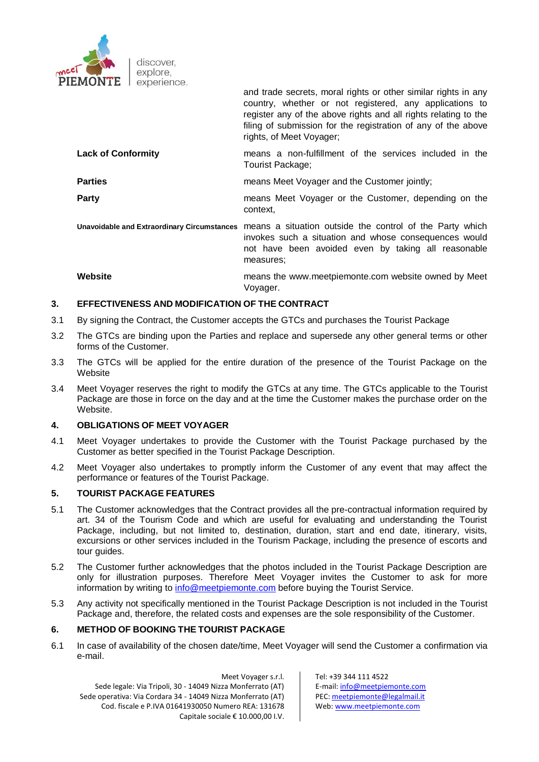

and trade secrets, moral rights or other similar rights in any country, whether or not registered, any applications to register any of the above rights and all rights relating to the filing of submission for the registration of any of the above rights, of Meet Voyager;

- **Lack of Conformity means a non-fulfillment of the services included in the** Tourist Package;
- **Parties Example 20** means Meet Voyager and the Customer jointly;

**Party** means Meet Voyager or the Customer, depending on the context,

**Unavoidable and Extraordinary Circumstances** means a situation outside the control of the Party which invokes such a situation and whose consequences would not have been avoided even by taking all reasonable measures;

**Website** means the www.meetpiemonte.com website owned by Meet Voyager.

# **3. EFFECTIVENESS AND MODIFICATION OF THE CONTRACT**

- 3.1 By signing the Contract, the Customer accepts the GTCs and purchases the Tourist Package
- 3.2 The GTCs are binding upon the Parties and replace and supersede any other general terms or other forms of the Customer.
- 3.3 The GTCs will be applied for the entire duration of the presence of the Tourist Package on the Website
- 3.4 Meet Voyager reserves the right to modify the GTCs at any time. The GTCs applicable to the Tourist Package are those in force on the day and at the time the Customer makes the purchase order on the Website.

## **4. OBLIGATIONS OF MEET VOYAGER**

- 4.1 Meet Voyager undertakes to provide the Customer with the Tourist Package purchased by the Customer as better specified in the Tourist Package Description.
- 4.2 Meet Voyager also undertakes to promptly inform the Customer of any event that may affect the performance or features of the Tourist Package.

# **5. TOURIST PACKAGE FEATURES**

- 5.1 The Customer acknowledges that the Contract provides all the pre-contractual information required by art. 34 of the Tourism Code and which are useful for evaluating and understanding the Tourist Package, including, but not limited to, destination, duration, start and end date, itinerary, visits, excursions or other services included in the Tourism Package, including the presence of escorts and tour guides.
- 5.2 The Customer further acknowledges that the photos included in the Tourist Package Description are only for illustration purposes. Therefore Meet Voyager invites the Customer to ask for more information by writing to [info@meetpiemonte.com](mailto:info@meetpiemonte.com) before buying the Tourist Service.
- 5.3 Any activity not specifically mentioned in the Tourist Package Description is not included in the Tourist Package and, therefore, the related costs and expenses are the sole responsibility of the Customer.

### **6. METHOD OF BOOKING THE TOURIST PACKAGE**

6.1 In case of availability of the chosen date/time, Meet Voyager will send the Customer a confirmation via e-mail.

Meet Voyager s.r.l. Sede legale: Via Tripoli, 30 - 14049 Nizza Monferrato (AT) Sede operativa: Via Cordara 34 - 14049 Nizza Monferrato (AT) Cod. fiscale e P.IVA 01641930050 Numero REA: 131678 Capitale sociale € 10.000,00 I.V.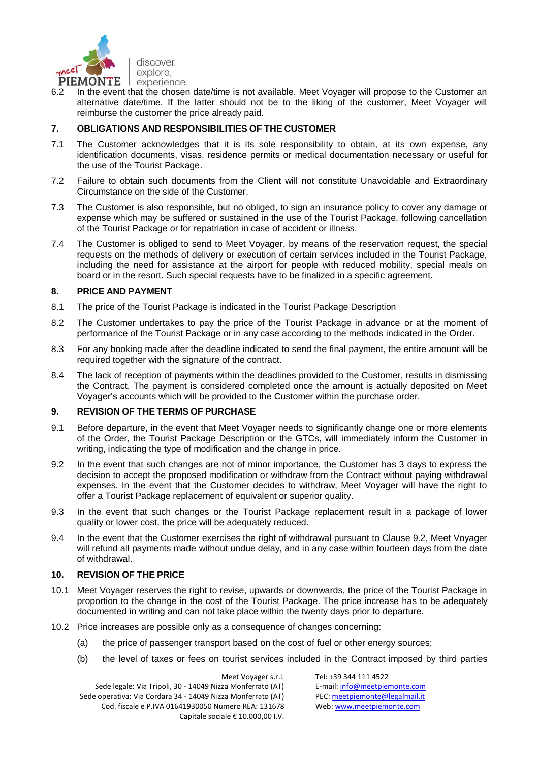

6.2 In the event that the chosen date/time is not available, Meet Voyager will propose to the Customer an alternative date/time. If the latter should not be to the liking of the customer, Meet Voyager will reimburse the customer the price already paid.

# **7. OBLIGATIONS AND RESPONSIBILITIES OF THE CUSTOMER**

- 7.1 The Customer acknowledges that it is its sole responsibility to obtain, at its own expense, any identification documents, visas, residence permits or medical documentation necessary or useful for the use of the Tourist Package.
- 7.2 Failure to obtain such documents from the Client will not constitute Unavoidable and Extraordinary Circumstance on the side of the Customer.
- 7.3 The Customer is also responsible, but no obliged, to sign an insurance policy to cover any damage or expense which may be suffered or sustained in the use of the Tourist Package, following cancellation of the Tourist Package or for repatriation in case of accident or illness.
- 7.4 The Customer is obliged to send to Meet Voyager, by means of the reservation request, the special requests on the methods of delivery or execution of certain services included in the Tourist Package, including the need for assistance at the airport for people with reduced mobility, special meals on board or in the resort. Such special requests have to be finalized in a specific agreement.

## **8. PRICE AND PAYMENT**

- 8.1 The price of the Tourist Package is indicated in the Tourist Package Description
- 8.2 The Customer undertakes to pay the price of the Tourist Package in advance or at the moment of performance of the Tourist Package or in any case according to the methods indicated in the Order.
- 8.3 For any booking made after the deadline indicated to send the final payment, the entire amount will be required together with the signature of the contract.
- 8.4 The lack of reception of payments within the deadlines provided to the Customer, results in dismissing the Contract. The payment is considered completed once the amount is actually deposited on Meet Voyager's accounts which will be provided to the Customer within the purchase order.

## **9. REVISION OF THE TERMS OF PURCHASE**

- 9.1 Before departure, in the event that Meet Voyager needs to significantly change one or more elements of the Order, the Tourist Package Description or the GTCs, will immediately inform the Customer in writing, indicating the type of modification and the change in price.
- 9.2 In the event that such changes are not of minor importance, the Customer has 3 days to express the decision to accept the proposed modification or withdraw from the Contract without paying withdrawal expenses. In the event that the Customer decides to withdraw, Meet Voyager will have the right to offer a Tourist Package replacement of equivalent or superior quality.
- 9.3 In the event that such changes or the Tourist Package replacement result in a package of lower quality or lower cost, the price will be adequately reduced.
- 9.4 In the event that the Customer exercises the right of withdrawal pursuant to Clause 9.2, Meet Voyager will refund all payments made without undue delay, and in any case within fourteen days from the date of withdrawal.

#### **10. REVISION OF THE PRICE**

- 10.1 Meet Voyager reserves the right to revise, upwards or downwards, the price of the Tourist Package in proportion to the change in the cost of the Tourist Package. The price increase has to be adequately documented in writing and can not take place within the twenty days prior to departure.
- 10.2 Price increases are possible only as a consequence of changes concerning:
	- (a) the price of passenger transport based on the cost of fuel or other energy sources;
	- (b) the level of taxes or fees on tourist services included in the Contract imposed by third parties

Meet Voyager s.r.l. Sede legale: Via Tripoli, 30 - 14049 Nizza Monferrato (AT) Sede operativa: Via Cordara 34 - 14049 Nizza Monferrato (AT) Cod. fiscale e P.IVA 01641930050 Numero REA: 131678 Capitale sociale € 10.000,00 I.V.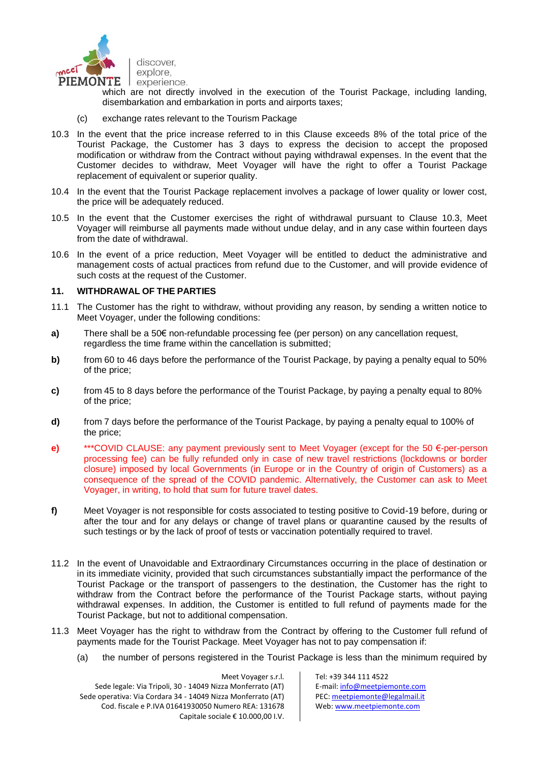

which are not directly involved in the execution of the Tourist Package, including landing, disembarkation and embarkation in ports and airports taxes;

- (c) exchange rates relevant to the Tourism Package
- 10.3 In the event that the price increase referred to in this Clause exceeds 8% of the total price of the Tourist Package, the Customer has 3 days to express the decision to accept the proposed modification or withdraw from the Contract without paying withdrawal expenses. In the event that the Customer decides to withdraw, Meet Voyager will have the right to offer a Tourist Package replacement of equivalent or superior quality.
- 10.4 In the event that the Tourist Package replacement involves a package of lower quality or lower cost, the price will be adequately reduced.
- 10.5 In the event that the Customer exercises the right of withdrawal pursuant to Clause 10.3, Meet Voyager will reimburse all payments made without undue delay, and in any case within fourteen days from the date of withdrawal.
- 10.6 In the event of a price reduction, Meet Voyager will be entitled to deduct the administrative and management costs of actual practices from refund due to the Customer, and will provide evidence of such costs at the request of the Customer.

### **11. WITHDRAWAL OF THE PARTIES**

- 11.1 The Customer has the right to withdraw, without providing any reason, by sending a written notice to Meet Voyager, under the following conditions:
- **a)** There shall be a 50€ non-refundable processing fee (per person) on any cancellation request, regardless the time frame within the cancellation is submitted;
- **b)** from 60 to 46 days before the performance of the Tourist Package, by paying a penalty equal to 50% of the price;
- **c)** from 45 to 8 days before the performance of the Tourist Package, by paying a penalty equal to 80% of the price;
- **d)** from 7 days before the performance of the Tourist Package, by paying a penalty equal to 100% of the price;
- **e)** \*\*\*COVID CLAUSE: any payment previously sent to Meet Voyager (except for the 50 €-per-person processing fee) can be fully refunded only in case of new travel restrictions (lockdowns or border closure) imposed by local Governments (in Europe or in the Country of origin of Customers) as a consequence of the spread of the COVID pandemic. Alternatively, the Customer can ask to Meet Voyager, in writing, to hold that sum for future travel dates.
- **f)** Meet Voyager is not responsible for costs associated to testing positive to Covid-19 before, during or after the tour and for any delays or change of travel plans or quarantine caused by the results of such testings or by the lack of proof of tests or vaccination potentially required to travel.
- 11.2 In the event of Unavoidable and Extraordinary Circumstances occurring in the place of destination or in its immediate vicinity, provided that such circumstances substantially impact the performance of the Tourist Package or the transport of passengers to the destination, the Customer has the right to withdraw from the Contract before the performance of the Tourist Package starts, without paying withdrawal expenses. In addition, the Customer is entitled to full refund of payments made for the Tourist Package, but not to additional compensation.
- 11.3 Meet Voyager has the right to withdraw from the Contract by offering to the Customer full refund of payments made for the Tourist Package. Meet Voyager has not to pay compensation if:
	- (a) the number of persons registered in the Tourist Package is less than the minimum required by

Meet Voyager s.r.l. Sede legale: Via Tripoli, 30 - 14049 Nizza Monferrato (AT) Sede operativa: Via Cordara 34 - 14049 Nizza Monferrato (AT) Cod. fiscale e P.IVA 01641930050 Numero REA: 131678 Capitale sociale € 10.000,00 I.V.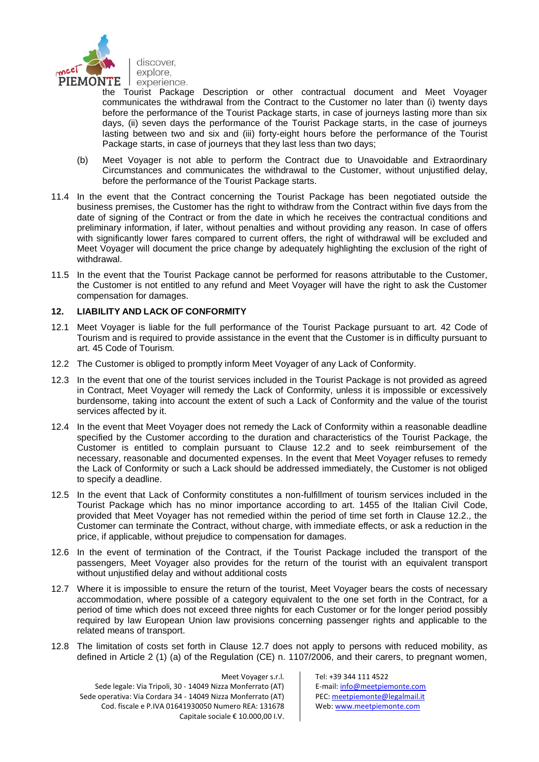

the Tourist Package Description or other contractual document and Meet Voyager communicates the withdrawal from the Contract to the Customer no later than (i) twenty days before the performance of the Tourist Package starts, in case of journeys lasting more than six days, (ii) seven days the performance of the Tourist Package starts, in the case of journeys lasting between two and six and (iii) forty-eight hours before the performance of the Tourist Package starts, in case of journeys that they last less than two days;

- (b) Meet Voyager is not able to perform the Contract due to Unavoidable and Extraordinary Circumstances and communicates the withdrawal to the Customer, without unjustified delay, before the performance of the Tourist Package starts.
- 11.4 In the event that the Contract concerning the Tourist Package has been negotiated outside the business premises, the Customer has the right to withdraw from the Contract within five days from the date of signing of the Contract or from the date in which he receives the contractual conditions and preliminary information, if later, without penalties and without providing any reason. In case of offers with significantly lower fares compared to current offers, the right of withdrawal will be excluded and Meet Voyager will document the price change by adequately highlighting the exclusion of the right of withdrawal.
- 11.5 In the event that the Tourist Package cannot be performed for reasons attributable to the Customer, the Customer is not entitled to any refund and Meet Voyager will have the right to ask the Customer compensation for damages.

### **12. LIABILITY AND LACK OF CONFORMITY**

- 12.1 Meet Voyager is liable for the full performance of the Tourist Package pursuant to art. 42 Code of Tourism and is required to provide assistance in the event that the Customer is in difficulty pursuant to art. 45 Code of Tourism.
- 12.2 The Customer is obliged to promptly inform Meet Voyager of any Lack of Conformity.
- 12.3 In the event that one of the tourist services included in the Tourist Package is not provided as agreed in Contract, Meet Voyager will remedy the Lack of Conformity, unless it is impossible or excessively burdensome, taking into account the extent of such a Lack of Conformity and the value of the tourist services affected by it.
- 12.4 In the event that Meet Voyager does not remedy the Lack of Conformity within a reasonable deadline specified by the Customer according to the duration and characteristics of the Tourist Package, the Customer is entitled to complain pursuant to Clause 12.2 and to seek reimbursement of the necessary, reasonable and documented expenses. In the event that Meet Voyager refuses to remedy the Lack of Conformity or such a Lack should be addressed immediately, the Customer is not obliged to specify a deadline.
- 12.5 In the event that Lack of Conformity constitutes a non-fulfillment of tourism services included in the Tourist Package which has no minor importance according to art. 1455 of the Italian Civil Code, provided that Meet Voyager has not remedied within the period of time set forth in Clause 12.2., the Customer can terminate the Contract, without charge, with immediate effects, or ask a reduction in the price, if applicable, without prejudice to compensation for damages.
- 12.6 In the event of termination of the Contract, if the Tourist Package included the transport of the passengers, Meet Voyager also provides for the return of the tourist with an equivalent transport without unjustified delay and without additional costs
- 12.7 Where it is impossible to ensure the return of the tourist, Meet Voyager bears the costs of necessary accommodation, where possible of a category equivalent to the one set forth in the Contract, for a period of time which does not exceed three nights for each Customer or for the longer period possibly required by law European Union law provisions concerning passenger rights and applicable to the related means of transport.
- 12.8 The limitation of costs set forth in Clause 12.7 does not apply to persons with reduced mobility, as defined in Article 2 (1) (a) of the Regulation (CE) n. 1107/2006, and their carers, to pregnant women,

Meet Voyager s.r.l. Sede legale: Via Tripoli, 30 - 14049 Nizza Monferrato (AT) Sede operativa: Via Cordara 34 - 14049 Nizza Monferrato (AT) Cod. fiscale e P.IVA 01641930050 Numero REA: 131678 Capitale sociale € 10.000,00 I.V.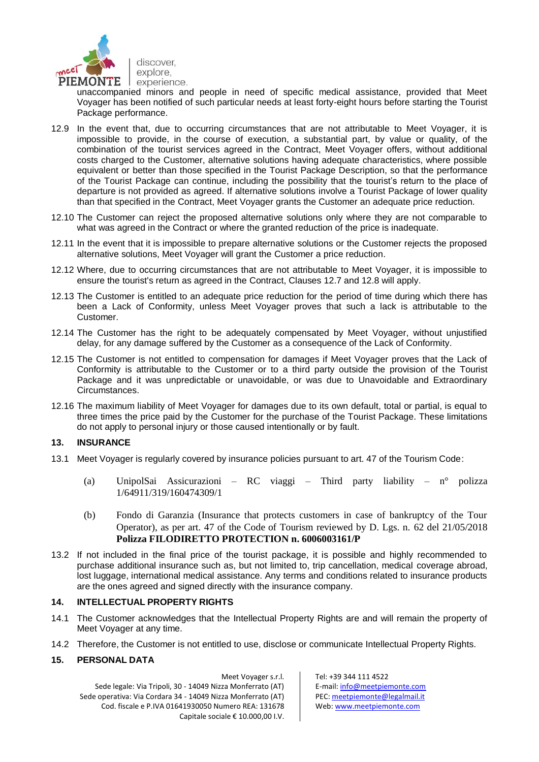

unaccompanied minors and people in need of specific medical assistance, provided that Meet Voyager has been notified of such particular needs at least forty-eight hours before starting the Tourist Package performance.

- 12.9 In the event that, due to occurring circumstances that are not attributable to Meet Voyager, it is impossible to provide, in the course of execution, a substantial part, by value or quality, of the combination of the tourist services agreed in the Contract, Meet Voyager offers, without additional costs charged to the Customer, alternative solutions having adequate characteristics, where possible equivalent or better than those specified in the Tourist Package Description, so that the performance of the Tourist Package can continue, including the possibility that the tourist's return to the place of departure is not provided as agreed. If alternative solutions involve a Tourist Package of lower quality than that specified in the Contract, Meet Voyager grants the Customer an adequate price reduction.
- 12.10 The Customer can reject the proposed alternative solutions only where they are not comparable to what was agreed in the Contract or where the granted reduction of the price is inadequate.
- 12.11 In the event that it is impossible to prepare alternative solutions or the Customer rejects the proposed alternative solutions, Meet Voyager will grant the Customer a price reduction.
- 12.12 Where, due to occurring circumstances that are not attributable to Meet Voyager, it is impossible to ensure the tourist's return as agreed in the Contract, Clauses 12.7 and 12.8 will apply.
- 12.13 The Customer is entitled to an adequate price reduction for the period of time during which there has been a Lack of Conformity, unless Meet Voyager proves that such a lack is attributable to the Customer.
- 12.14 The Customer has the right to be adequately compensated by Meet Voyager, without unjustified delay, for any damage suffered by the Customer as a consequence of the Lack of Conformity.
- 12.15 The Customer is not entitled to compensation for damages if Meet Voyager proves that the Lack of Conformity is attributable to the Customer or to a third party outside the provision of the Tourist Package and it was unpredictable or unavoidable, or was due to Unavoidable and Extraordinary Circumstances.
- 12.16 The maximum liability of Meet Voyager for damages due to its own default, total or partial, is equal to three times the price paid by the Customer for the purchase of the Tourist Package. These limitations do not apply to personal injury or those caused intentionally or by fault.

## **13. INSURANCE**

- 13.1 Meet Voyager is regularly covered by insurance policies pursuant to art. 47 of the Tourism Code:
	- (a) UnipolSai Assicurazioni RC viaggi Third party liability n° polizza 1/64911/319/160474309/1
	- (b) Fondo di Garanzia (Insurance that protects customers in case of bankruptcy of the Tour Operator), as per art. 47 of the Code of Tourism reviewed by D. Lgs. n. 62 del 21/05/2018 **Polizza FILODIRETTO PROTECTION n. 6006003161/P**
- 13.2 If not included in the final price of the tourist package, it is possible and highly recommended to purchase additional insurance such as, but not limited to, trip cancellation, medical coverage abroad, lost luggage, international medical assistance. Any terms and conditions related to insurance products are the ones agreed and signed directly with the insurance company.

# **14. INTELLECTUAL PROPERTY RIGHTS**

- 14.1 The Customer acknowledges that the Intellectual Property Rights are and will remain the property of Meet Voyager at any time.
- 14.2 Therefore, the Customer is not entitled to use, disclose or communicate Intellectual Property Rights.

## **15. PERSONAL DATA**

Meet Voyager s.r.l. Sede legale: Via Tripoli, 30 - 14049 Nizza Monferrato (AT) Sede operativa: Via Cordara 34 - 14049 Nizza Monferrato (AT) Cod. fiscale e P.IVA 01641930050 Numero REA: 131678 Capitale sociale € 10.000,00 I.V.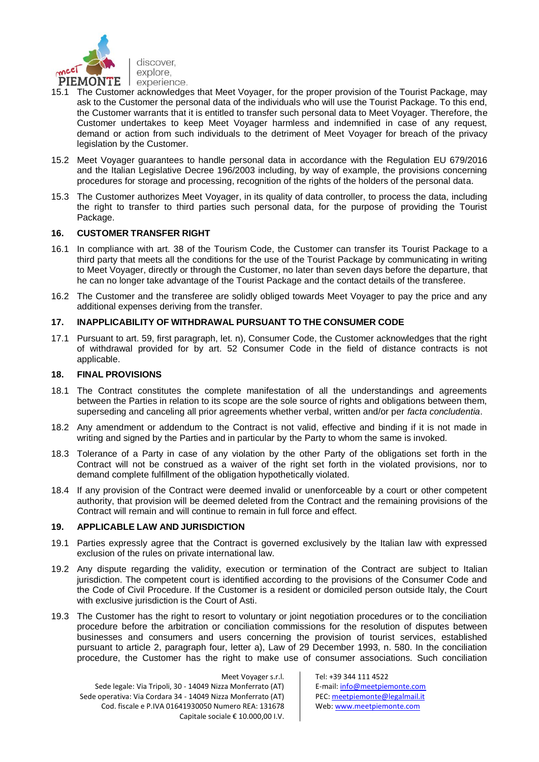

- 15.1 The Customer acknowledges that Meet Voyager, for the proper provision of the Tourist Package, may ask to the Customer the personal data of the individuals who will use the Tourist Package. To this end, the Customer warrants that it is entitled to transfer such personal data to Meet Voyager. Therefore, the Customer undertakes to keep Meet Voyager harmless and indemnified in case of any request, demand or action from such individuals to the detriment of Meet Voyager for breach of the privacy legislation by the Customer.
- 15.2 Meet Voyager guarantees to handle personal data in accordance with the Regulation EU 679/2016 and the Italian Legislative Decree 196/2003 including, by way of example, the provisions concerning procedures for storage and processing, recognition of the rights of the holders of the personal data.
- 15.3 The Customer authorizes Meet Voyager, in its quality of data controller, to process the data, including the right to transfer to third parties such personal data, for the purpose of providing the Tourist Package.

### **16. CUSTOMER TRANSFER RIGHT**

- 16.1 In compliance with art. 38 of the Tourism Code, the Customer can transfer its Tourist Package to a third party that meets all the conditions for the use of the Tourist Package by communicating in writing to Meet Voyager, directly or through the Customer, no later than seven days before the departure, that he can no longer take advantage of the Tourist Package and the contact details of the transferee.
- 16.2 The Customer and the transferee are solidly obliged towards Meet Voyager to pay the price and any additional expenses deriving from the transfer.

### **17. INAPPLICABILITY OF WITHDRAWAL PURSUANT TO THE CONSUMER CODE**

17.1 Pursuant to art. 59, first paragraph, let. n), Consumer Code, the Customer acknowledges that the right of withdrawal provided for by art. 52 Consumer Code in the field of distance contracts is not applicable.

#### **18. FINAL PROVISIONS**

- 18.1 The Contract constitutes the complete manifestation of all the understandings and agreements between the Parties in relation to its scope are the sole source of rights and obligations between them, superseding and canceling all prior agreements whether verbal, written and/or per *facta concludentia*.
- 18.2 Any amendment or addendum to the Contract is not valid, effective and binding if it is not made in writing and signed by the Parties and in particular by the Party to whom the same is invoked.
- 18.3 Tolerance of a Party in case of any violation by the other Party of the obligations set forth in the Contract will not be construed as a waiver of the right set forth in the violated provisions, nor to demand complete fulfillment of the obligation hypothetically violated.
- 18.4 If any provision of the Contract were deemed invalid or unenforceable by a court or other competent authority, that provision will be deemed deleted from the Contract and the remaining provisions of the Contract will remain and will continue to remain in full force and effect.

#### **19. APPLICABLE LAW AND JURISDICTION**

- 19.1 Parties expressly agree that the Contract is governed exclusively by the Italian law with expressed exclusion of the rules on private international law.
- 19.2 Any dispute regarding the validity, execution or termination of the Contract are subject to Italian jurisdiction. The competent court is identified according to the provisions of the Consumer Code and the Code of Civil Procedure. If the Customer is a resident or domiciled person outside Italy, the Court with exclusive jurisdiction is the Court of Asti.
- 19.3 The Customer has the right to resort to voluntary or joint negotiation procedures or to the conciliation procedure before the arbitration or conciliation commissions for the resolution of disputes between businesses and consumers and users concerning the provision of tourist services, established pursuant to article 2, paragraph four, letter a), Law of 29 December 1993, n. 580. In the conciliation procedure, the Customer has the right to make use of consumer associations. Such conciliation

Meet Voyager s.r.l. Sede legale: Via Tripoli, 30 - 14049 Nizza Monferrato (AT) Sede operativa: Via Cordara 34 - 14049 Nizza Monferrato (AT) Cod. fiscale e P.IVA 01641930050 Numero REA: 131678 Capitale sociale € 10.000,00 I.V.